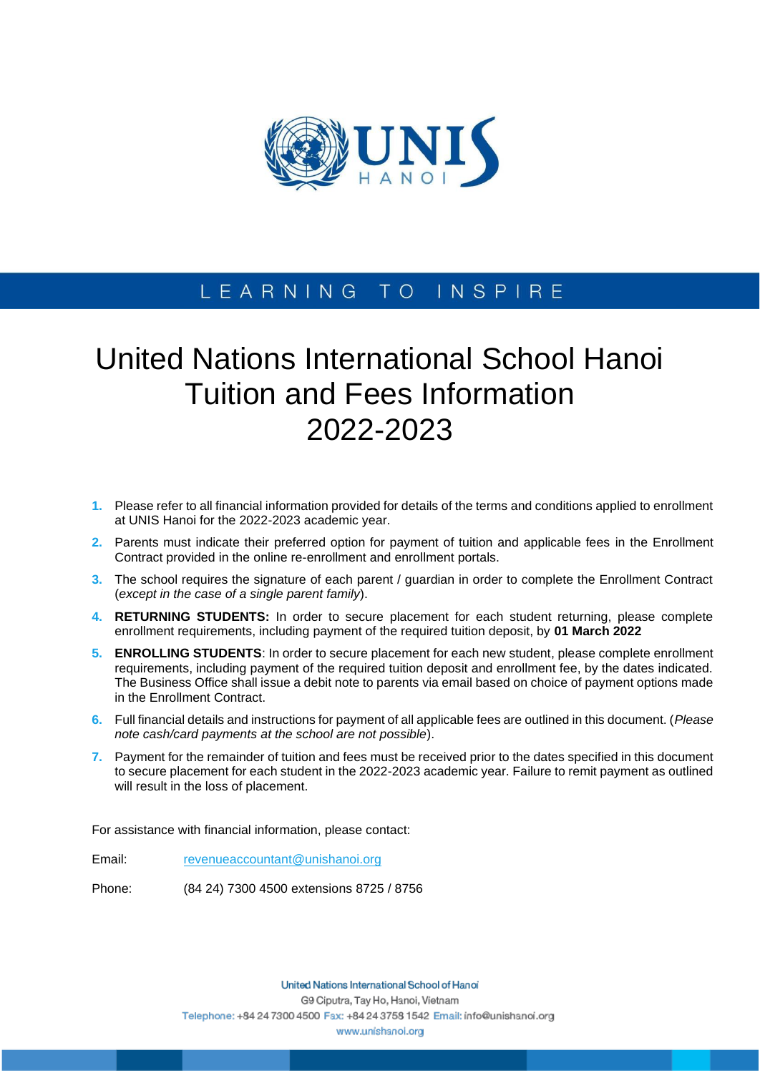

# LEARNING TO INSPIRE

# United Nations International School Hanoi Tuition and Fees Information 2022-2023

- **1.** Please refer to all financial information provided for details of the terms and conditions applied to enrollment at UNIS Hanoi for the 2022-2023 academic year.
- **2.** Parents must indicate their preferred option for payment of tuition and applicable fees in the Enrollment Contract provided in the online re-enrollment and enrollment portals.
- **3.** The school requires the signature of each parent / guardian in order to complete the Enrollment Contract (*except in the case of a single parent family*).
- **4. RETURNING STUDENTS:** In order to secure placement for each student returning, please complete enrollment requirements, including payment of the required tuition deposit, by **01 March 2022**
- **5. ENROLLING STUDENTS**: In order to secure placement for each new student, please complete enrollment requirements, including payment of the required tuition deposit and enrollment fee, by the dates indicated. The Business Office shall issue a debit note to parents via email based on choice of payment options made in the Enrollment Contract.
- **6.** Full financial details and instructions for payment of all applicable fees are outlined in this document. (*Please note cash/card payments at the school are not possible*).
- **7.** Payment for the remainder of tuition and fees must be received prior to the dates specified in this document to secure placement for each student in the 2022-2023 academic year. Failure to remit payment as outlined will result in the loss of placement.

For assistance with financial information, please contact:

Email: [revenueaccountant@unishanoi.org](mailto:revenueaccountant@unishanoi.org)

Phone: (84 24) 7300 4500 extensions 8725 / 8756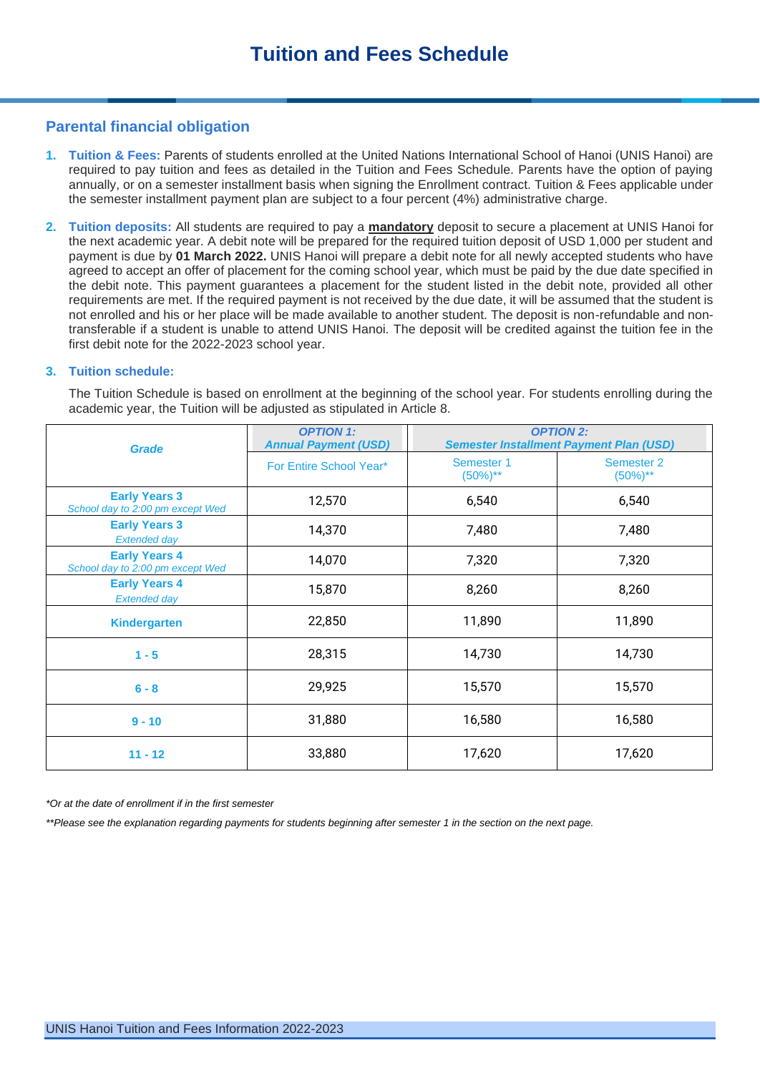# **Parental financial obligation**

- **1. Tuition & Fees:** Parents of students enrolled at the United Nations International School of Hanoi (UNIS Hanoi) are required to pay tuition and fees as detailed in the Tuition and Fees Schedule. Parents have the option of paying annually, or on a semester installment basis when signing the Enrollment contract. Tuition & Fees applicable under the semester installment payment plan are subject to a four percent (4%) administrative charge.
- **2. Tuition deposits:** All students are required to pay a **mandatory** deposit to secure a placement at UNIS Hanoi for the next academic year. A debit note will be prepared for the required tuition deposit of USD 1,000 per student and payment is due by **01 March 2022.** UNIS Hanoi will prepare a debit note for all newly accepted students who have agreed to accept an offer of placement for the coming school year, which must be paid by the due date specified in the debit note. This payment guarantees a placement for the student listed in the debit note, provided all other requirements are met. If the required payment is not received by the due date, it will be assumed that the student is not enrolled and his or her place will be made available to another student. The deposit is non-refundable and nontransferable if a student is unable to attend UNIS Hanoi. The deposit will be credited against the tuition fee in the first debit note for the 2022-2023 school year.

#### **3. Tuition schedule:**

The Tuition Schedule is based on enrollment at the beginning of the school year. For students enrolling during the academic year, the Tuition will be adjusted as stipulated in Article 8.

| <b>Grade</b>                                             | <b>OPTION 1:</b><br><b>Annual Payment (USD)</b> | <b>OPTION 2:</b><br><b>Semester Installment Payment Plan (USD)</b> |                             |
|----------------------------------------------------------|-------------------------------------------------|--------------------------------------------------------------------|-----------------------------|
|                                                          | For Entire School Year*                         | Semester 1<br>$(50\%)^{**}$                                        | Semester 2<br>$(50\%)^{**}$ |
| <b>Early Years 3</b><br>School day to 2:00 pm except Wed | 12,570                                          | 6,540                                                              | 6,540                       |
| <b>Early Years 3</b><br><b>Extended day</b>              | 14,370                                          | 7,480                                                              | 7,480                       |
| <b>Early Years 4</b><br>School day to 2:00 pm except Wed | 14,070                                          | 7,320                                                              | 7,320                       |
| <b>Early Years 4</b><br><b>Extended day</b>              | 15,870                                          | 8,260                                                              | 8,260                       |
| <b>Kindergarten</b>                                      | 22,850                                          | 11,890                                                             | 11,890                      |
| $1 - 5$                                                  | 28,315                                          | 14,730                                                             | 14,730                      |
| $6 - 8$                                                  | 29,925                                          | 15,570                                                             | 15,570                      |
| $9 - 10$                                                 | 31,880                                          | 16,580                                                             | 16,580                      |
| $11 - 12$                                                | 33,880                                          | 17,620                                                             | 17,620                      |

*\*Or at the date of enrollment if in the first semester* 

*\*\*Please see the explanation regarding payments for students beginning after semester 1 in the section on the next page.*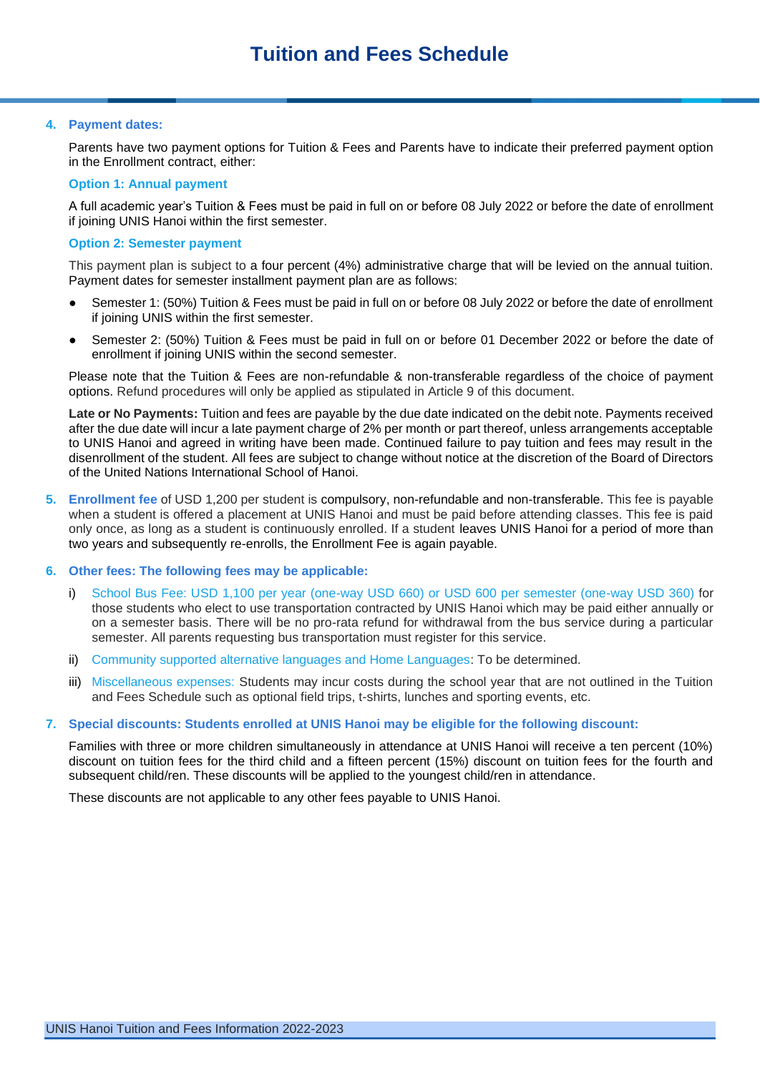#### **4. Payment dates:**

Parents have two payment options for Tuition & Fees and Parents have to indicate their preferred payment option in the Enrollment contract, either:

#### **Option 1: Annual payment**

A full academic year's Tuition & Fees must be paid in full on or before 08 July 2022 or before the date of enrollment if joining UNIS Hanoi within the first semester.

## **Option 2: Semester payment**

This payment plan is subject to a four percent (4%) administrative charge that will be levied on the annual tuition. Payment dates for semester installment payment plan are as follows:

- Semester 1: (50%) Tuition & Fees must be paid in full on or before 08 July 2022 or before the date of enrollment if joining UNIS within the first semester.
- Semester 2: (50%) Tuition & Fees must be paid in full on or before 01 December 2022 or before the date of enrollment if joining UNIS within the second semester.

Please note that the Tuition & Fees are non-refundable & non-transferable regardless of the choice of payment options. Refund procedures will only be applied as stipulated in Article 9 of this document.

**Late or No Payments:** Tuition and fees are payable by the due date indicated on the debit note. Payments received after the due date will incur a late payment charge of 2% per month or part thereof, unless arrangements acceptable to UNIS Hanoi and agreed in writing have been made. Continued failure to pay tuition and fees may result in the disenrollment of the student. All fees are subject to change without notice at the discretion of the Board of Directors of the United Nations International School of Hanoi.

**5. Enrollment fee** of USD 1,200 per student is compulsory, non-refundable and non-transferable. This fee is payable when a student is offered a placement at UNIS Hanoi and must be paid before attending classes. This fee is paid only once, as long as a student is continuously enrolled. If a student leaves UNIS Hanoi for a period of more than two years and subsequently re-enrolls, the Enrollment Fee is again payable.

#### **6. Other fees: The following fees may be applicable:**

- School Bus Fee: USD 1,100 per year (one-way USD 660) or USD 600 per semester (one-way USD 360) for those students who elect to use transportation contracted by UNIS Hanoi which may be paid either annually or on a semester basis. There will be no pro-rata refund for withdrawal from the bus service during a particular semester. All parents requesting bus transportation must register for this service.
- ii) Community supported alternative languages and Home Languages: To be determined.
- iii) Miscellaneous expenses: Students may incur costs during the school year that are not outlined in the Tuition and Fees Schedule such as optional field trips, t-shirts, lunches and sporting events, etc.

## **7. Special discounts: Students enrolled at UNIS Hanoi may be eligible for the following discount:**

Families with three or more children simultaneously in attendance at UNIS Hanoi will receive a ten percent (10%) discount on tuition fees for the third child and a fifteen percent (15%) discount on tuition fees for the fourth and subsequent child/ren. These discounts will be applied to the youngest child/ren in attendance.

These discounts are not applicable to any other fees payable to UNIS Hanoi.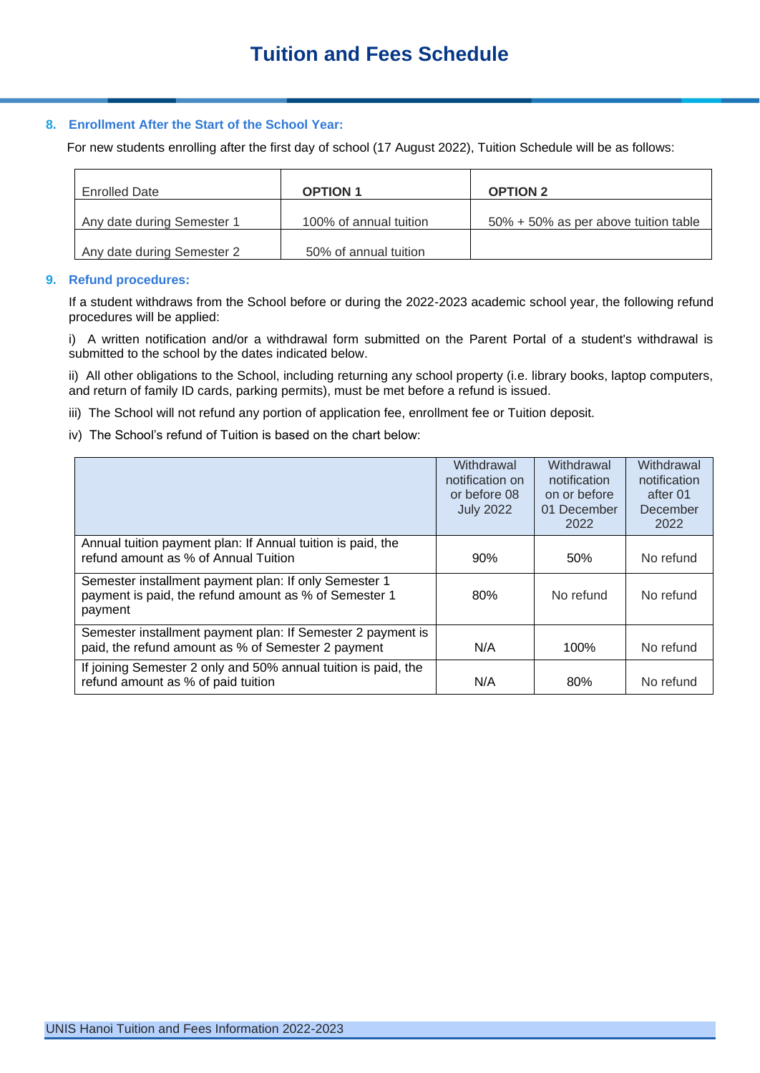## **8. Enrollment After the Start of the School Year:**

For new students enrolling after the first day of school (17 August 2022), Tuition Schedule will be as follows:

| <b>Enrolled Date</b>       | <b>OPTION 1</b>        | <b>OPTION 2</b>                      |
|----------------------------|------------------------|--------------------------------------|
| Any date during Semester 1 | 100% of annual tuition | 50% + 50% as per above tuition table |
| Any date during Semester 2 | 50% of annual tuition  |                                      |

#### **9. Refund procedures:**

If a student withdraws from the School before or during the 2022-2023 academic school year, the following refund procedures will be applied:

i) A written notification and/or a withdrawal form submitted on the Parent Portal of a student's withdrawal is submitted to the school by the dates indicated below.

ii) All other obligations to the School, including returning any school property (i.e. library books, laptop computers, and return of family ID cards, parking permits), must be met before a refund is issued.

iii) The School will not refund any portion of application fee, enrollment fee or Tuition deposit.

iv) The School's refund of Tuition is based on the chart below:

|                                                                                                                           | Withdrawal<br>notification on<br>or before 08<br><b>July 2022</b> | Withdrawal<br>notification<br>on or before<br>01 December<br>2022 | Withdrawal<br>notification<br>after 01<br>December<br>2022 |
|---------------------------------------------------------------------------------------------------------------------------|-------------------------------------------------------------------|-------------------------------------------------------------------|------------------------------------------------------------|
| Annual tuition payment plan: If Annual tuition is paid, the<br>refund amount as % of Annual Tuition                       | 90%                                                               | 50%                                                               | No refund                                                  |
| Semester installment payment plan: If only Semester 1<br>payment is paid, the refund amount as % of Semester 1<br>payment | 80%                                                               | No refund                                                         | No refund                                                  |
| Semester installment payment plan: If Semester 2 payment is<br>paid, the refund amount as % of Semester 2 payment         | N/A                                                               | 100%                                                              | No refund                                                  |
| If joining Semester 2 only and 50% annual tuition is paid, the<br>refund amount as % of paid tuition                      | N/A                                                               | 80%                                                               | No refund                                                  |